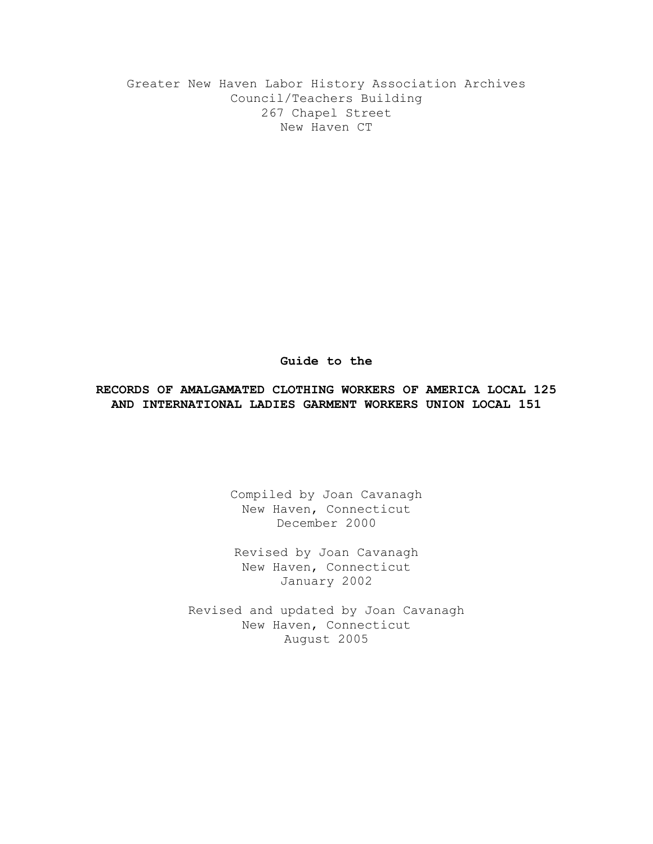Greater New Haven Labor History Association Archives Council/Teachers Building 267 Chapel Street New Haven CT

#### **Guide to the**

## **RECORDS OF AMALGAMATED CLOTHING WORKERS OF AMERICA LOCAL 125 AND INTERNATIONAL LADIES GARMENT WORKERS UNION LOCAL 151**

Compiled by Joan Cavanagh New Haven, Connecticut December 2000

Revised by Joan Cavanagh New Haven, Connecticut January 2002

Revised and updated by Joan Cavanagh New Haven, Connecticut August 2005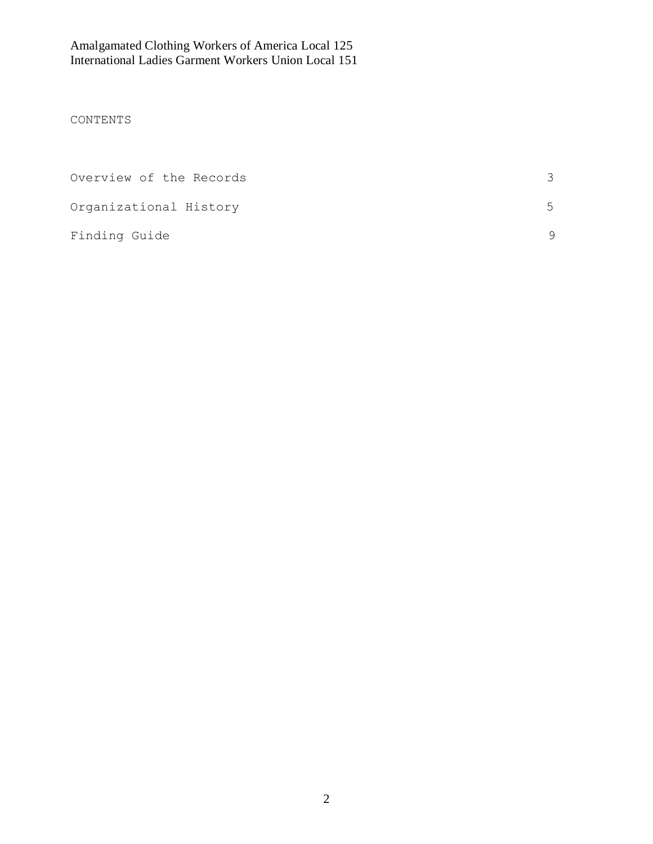# CONTENTS

| Overview of the Records |                          |
|-------------------------|--------------------------|
| Organizational History  | $\overline{\phantom{a}}$ |
| Finding Guide           |                          |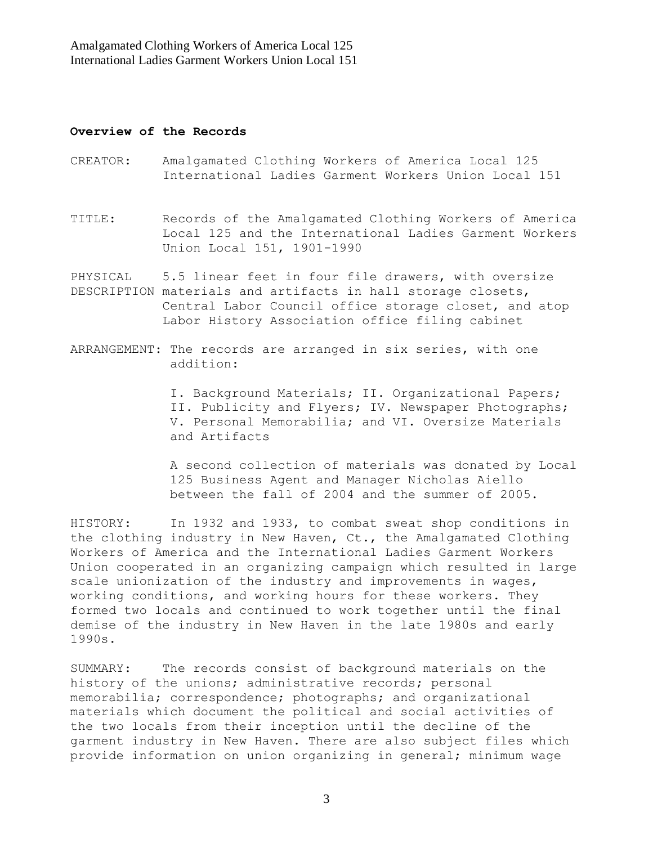### **Overview of the Records**

- CREATOR: Amalgamated Clothing Workers of America Local 125 International Ladies Garment Workers Union Local 151
- TITLE: Records of the Amalgamated Clothing Workers of America Local 125 and the International Ladies Garment Workers Union Local 151, 1901-1990

PHYSICAL 5.5 linear feet in four file drawers, with oversize DESCRIPTION materials and artifacts in hall storage closets, Central Labor Council office storage closet, and atop Labor History Association office filing cabinet

ARRANGEMENT: The records are arranged in six series, with one addition:

> I. Background Materials; II. Organizational Papers; II. Publicity and Flyers; IV. Newspaper Photographs; V. Personal Memorabilia; and VI. Oversize Materials and Artifacts

 A second collection of materials was donated by Local 125 Business Agent and Manager Nicholas Aiello between the fall of 2004 and the summer of 2005.

HISTORY: In 1932 and 1933, to combat sweat shop conditions in the clothing industry in New Haven, Ct., the Amalgamated Clothing Workers of America and the International Ladies Garment Workers Union cooperated in an organizing campaign which resulted in large scale unionization of the industry and improvements in wages, working conditions, and working hours for these workers. They formed two locals and continued to work together until the final demise of the industry in New Haven in the late 1980s and early 1990s.

SUMMARY: The records consist of background materials on the history of the unions; administrative records; personal memorabilia; correspondence; photographs; and organizational materials which document the political and social activities of the two locals from their inception until the decline of the garment industry in New Haven. There are also subject files which provide information on union organizing in general; minimum wage

3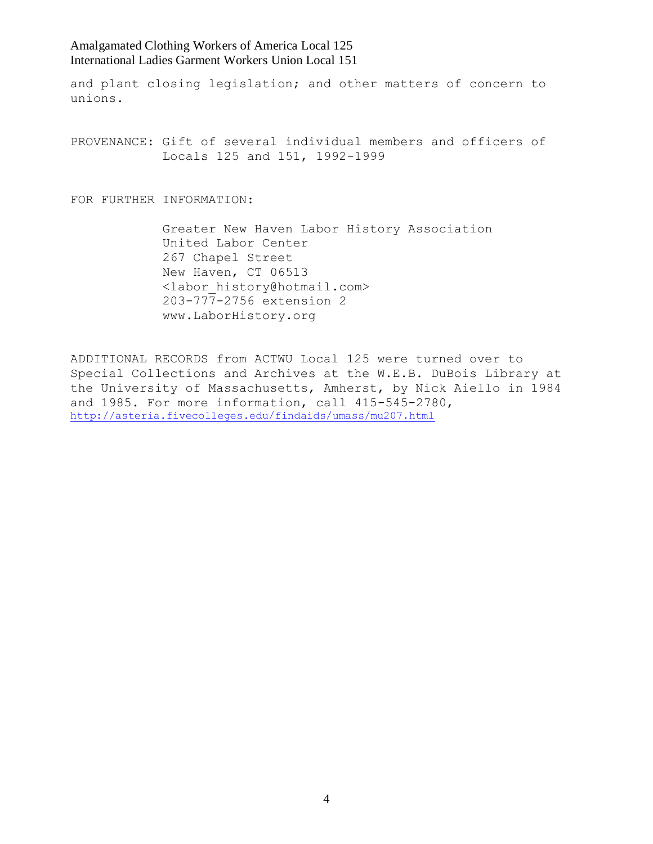and plant closing legislation; and other matters of concern to unions.

PROVENANCE: Gift of several individual members and officers of Locals 125 and 151, 1992-1999

FOR FURTHER INFORMATION:

 Greater New Haven Labor History Association United Labor Center 267 Chapel Street New Haven, CT 06513 <labor\_history@hotmail.com> 203-777-2756 extension 2 www.LaborHistory.org

ADDITIONAL RECORDS from ACTWU Local 125 were turned over to Special Collections and Archives at the W.E.B. DuBois Library at the University of Massachusetts, Amherst, by Nick Aiello in 1984 and 1985. For more information, call 415-545-2780, <http://asteria.fivecolleges.edu/findaids/umass/mu207.html>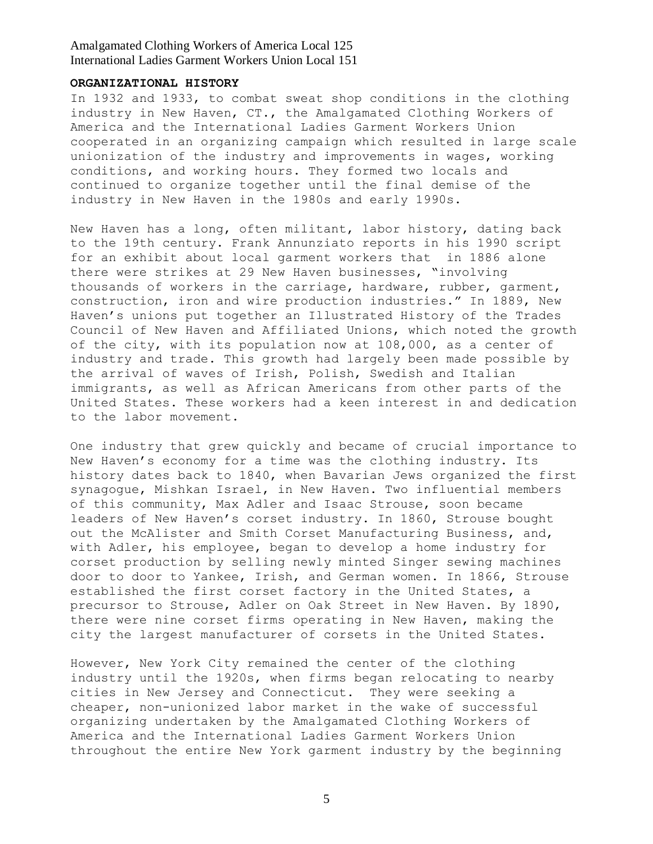### **ORGANIZATIONAL HISTORY**

In 1932 and 1933, to combat sweat shop conditions in the clothing industry in New Haven, CT., the Amalgamated Clothing Workers of America and the International Ladies Garment Workers Union cooperated in an organizing campaign which resulted in large scale unionization of the industry and improvements in wages, working conditions, and working hours. They formed two locals and continued to organize together until the final demise of the industry in New Haven in the 1980s and early 1990s.

New Haven has a long, often militant, labor history, dating back to the 19th century. Frank Annunziato reports in his 1990 script for an exhibit about local garment workers that in 1886 alone there were strikes at 29 New Haven businesses, "involving thousands of workers in the carriage, hardware, rubber, garment, construction, iron and wire production industries." In 1889, New Haven's unions put together an Illustrated History of the Trades Council of New Haven and Affiliated Unions, which noted the growth of the city, with its population now at 108,000, as a center of industry and trade. This growth had largely been made possible by the arrival of waves of Irish, Polish, Swedish and Italian immigrants, as well as African Americans from other parts of the United States. These workers had a keen interest in and dedication to the labor movement.

One industry that grew quickly and became of crucial importance to New Haven's economy for a time was the clothing industry. Its history dates back to 1840, when Bavarian Jews organized the first synagogue, Mishkan Israel, in New Haven. Two influential members of this community, Max Adler and Isaac Strouse, soon became leaders of New Haven"s corset industry. In 1860, Strouse bought out the McAlister and Smith Corset Manufacturing Business, and, with Adler, his employee, began to develop a home industry for corset production by selling newly minted Singer sewing machines door to door to Yankee, Irish, and German women. In 1866, Strouse established the first corset factory in the United States, a precursor to Strouse, Adler on Oak Street in New Haven. By 1890, there were nine corset firms operating in New Haven, making the city the largest manufacturer of corsets in the United States.

However, New York City remained the center of the clothing industry until the 1920s, when firms began relocating to nearby cities in New Jersey and Connecticut. They were seeking a cheaper, non-unionized labor market in the wake of successful organizing undertaken by the Amalgamated Clothing Workers of America and the International Ladies Garment Workers Union throughout the entire New York garment industry by the beginning

5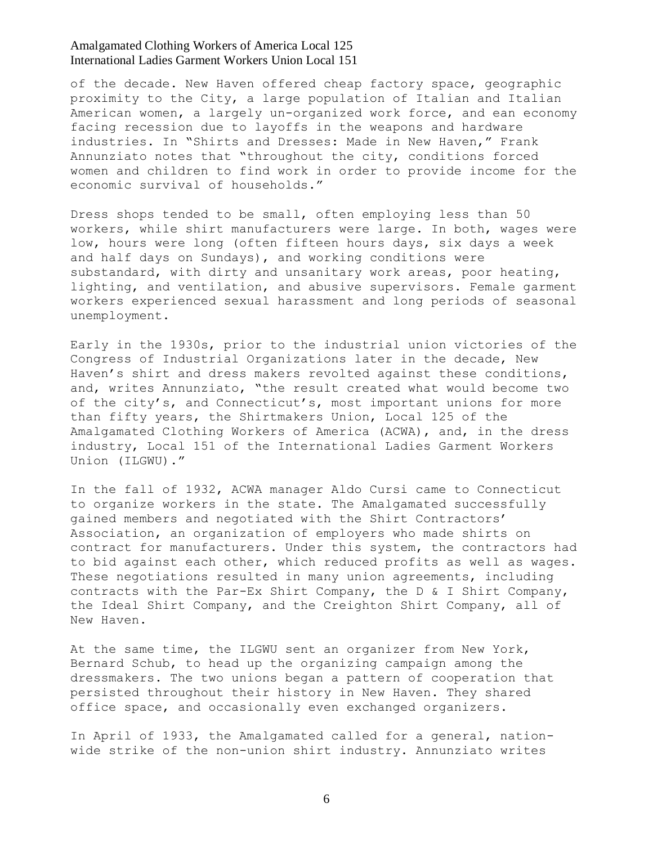of the decade. New Haven offered cheap factory space, geographic proximity to the City, a large population of Italian and Italian American women, a largely un-organized work force, and ean economy facing recession due to layoffs in the weapons and hardware industries. In "Shirts and Dresses: Made in New Haven," Frank Annunziato notes that "throughout the city, conditions forced women and children to find work in order to provide income for the economic survival of households."

Dress shops tended to be small, often employing less than 50 workers, while shirt manufacturers were large. In both, wages were low, hours were long (often fifteen hours days, six days a week and half days on Sundays), and working conditions were substandard, with dirty and unsanitary work areas, poor heating, lighting, and ventilation, and abusive supervisors. Female garment workers experienced sexual harassment and long periods of seasonal unemployment.

Early in the 1930s, prior to the industrial union victories of the Congress of Industrial Organizations later in the decade, New Haven's shirt and dress makers revolted against these conditions, and, writes Annunziato, "the result created what would become two of the city's, and Connecticut's, most important unions for more than fifty years, the Shirtmakers Union, Local 125 of the Amalgamated Clothing Workers of America (ACWA), and, in the dress industry, Local 151 of the International Ladies Garment Workers Union (ILGWU)."

In the fall of 1932, ACWA manager Aldo Cursi came to Connecticut to organize workers in the state. The Amalgamated successfully gained members and negotiated with the Shirt Contractors" Association, an organization of employers who made shirts on contract for manufacturers. Under this system, the contractors had to bid against each other, which reduced profits as well as wages. These negotiations resulted in many union agreements, including contracts with the Par-Ex Shirt Company, the D & I Shirt Company, the Ideal Shirt Company, and the Creighton Shirt Company, all of New Haven.

At the same time, the ILGWU sent an organizer from New York, Bernard Schub, to head up the organizing campaign among the dressmakers. The two unions began a pattern of cooperation that persisted throughout their history in New Haven. They shared office space, and occasionally even exchanged organizers.

In April of 1933, the Amalgamated called for a general, nationwide strike of the non-union shirt industry. Annunziato writes

6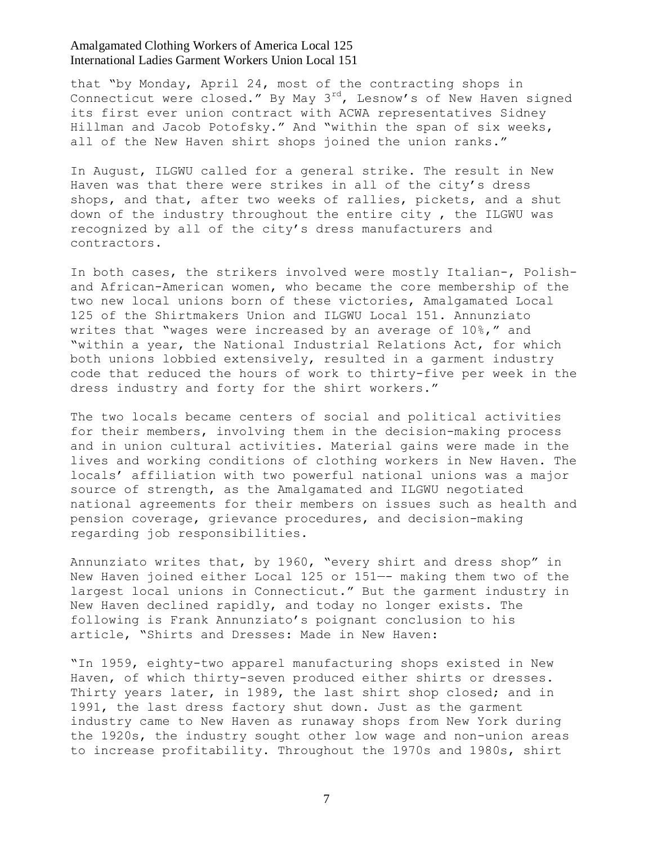that "by Monday, April 24, most of the contracting shops in Connecticut were closed." By May 3<sup>rd</sup>, Lesnow's of New Haven signed its first ever union contract with ACWA representatives Sidney Hillman and Jacob Potofsky." And "within the span of six weeks, all of the New Haven shirt shops joined the union ranks."

In August, ILGWU called for a general strike. The result in New Haven was that there were strikes in all of the city"s dress shops, and that, after two weeks of rallies, pickets, and a shut down of the industry throughout the entire city , the ILGWU was recognized by all of the city's dress manufacturers and contractors.

In both cases, the strikers involved were mostly Italian-, Polishand African-American women, who became the core membership of the two new local unions born of these victories, Amalgamated Local 125 of the Shirtmakers Union and ILGWU Local 151. Annunziato writes that "wages were increased by an average of 10%," and "within a year, the National Industrial Relations Act, for which both unions lobbied extensively, resulted in a garment industry code that reduced the hours of work to thirty-five per week in the dress industry and forty for the shirt workers."

The two locals became centers of social and political activities for their members, involving them in the decision-making process and in union cultural activities. Material gains were made in the lives and working conditions of clothing workers in New Haven. The locals" affiliation with two powerful national unions was a major source of strength, as the Amalgamated and ILGWU negotiated national agreements for their members on issues such as health and pension coverage, grievance procedures, and decision-making regarding job responsibilities.

Annunziato writes that, by 1960, "every shirt and dress shop" in New Haven joined either Local 125 or 151—- making them two of the largest local unions in Connecticut." But the garment industry in New Haven declined rapidly, and today no longer exists. The following is Frank Annunziato's poignant conclusion to his article, "Shirts and Dresses: Made in New Haven:

"In 1959, eighty-two apparel manufacturing shops existed in New Haven, of which thirty-seven produced either shirts or dresses. Thirty years later, in 1989, the last shirt shop closed; and in 1991, the last dress factory shut down. Just as the garment industry came to New Haven as runaway shops from New York during the 1920s, the industry sought other low wage and non-union areas to increase profitability. Throughout the 1970s and 1980s, shirt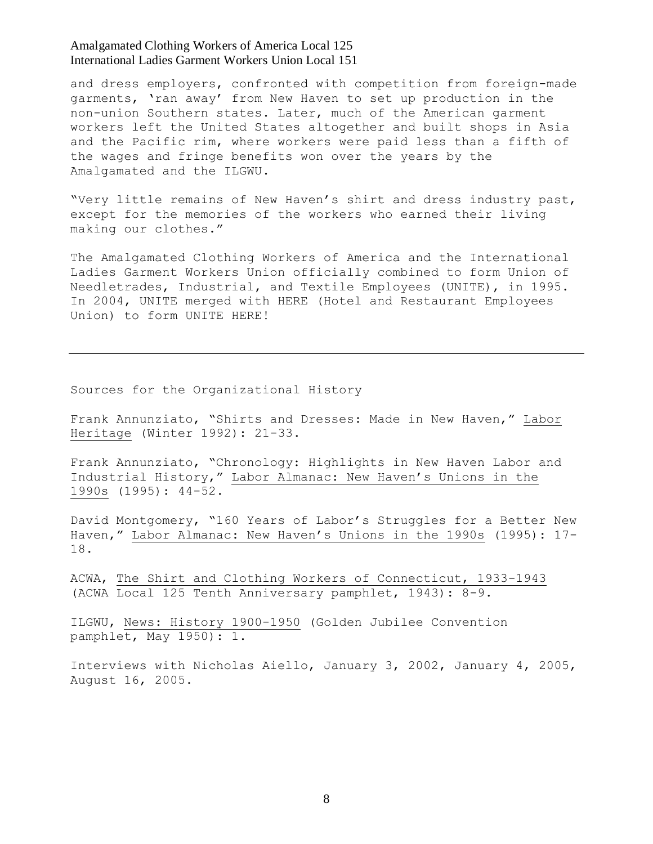and dress employers, confronted with competition from foreign-made garments, "ran away" from New Haven to set up production in the non-union Southern states. Later, much of the American garment workers left the United States altogether and built shops in Asia and the Pacific rim, where workers were paid less than a fifth of the wages and fringe benefits won over the years by the Amalgamated and the ILGWU.

"Very little remains of New Haven"s shirt and dress industry past, except for the memories of the workers who earned their living making our clothes."

The Amalgamated Clothing Workers of America and the International Ladies Garment Workers Union officially combined to form Union of Needletrades, Industrial, and Textile Employees (UNITE), in 1995. In 2004, UNITE merged with HERE (Hotel and Restaurant Employees Union) to form UNITE HERE!

Sources for the Organizational History

Frank Annunziato, "Shirts and Dresses: Made in New Haven," Labor Heritage (Winter 1992): 21-33.

Frank Annunziato, "Chronology: Highlights in New Haven Labor and Industrial History," Labor Almanac: New Haven's Unions in the 1990s (1995): 44-52.

David Montgomery, "160 Years of Labor"s Struggles for a Better New Haven," Labor Almanac: New Haven's Unions in the 1990s (1995): 17-18.

ACWA, The Shirt and Clothing Workers of Connecticut, 1933-1943 (ACWA Local 125 Tenth Anniversary pamphlet, 1943): 8-9.

ILGWU, News: History 1900-1950 (Golden Jubilee Convention pamphlet, May 1950): 1.

Interviews with Nicholas Aiello, January 3, 2002, January 4, 2005, August 16, 2005.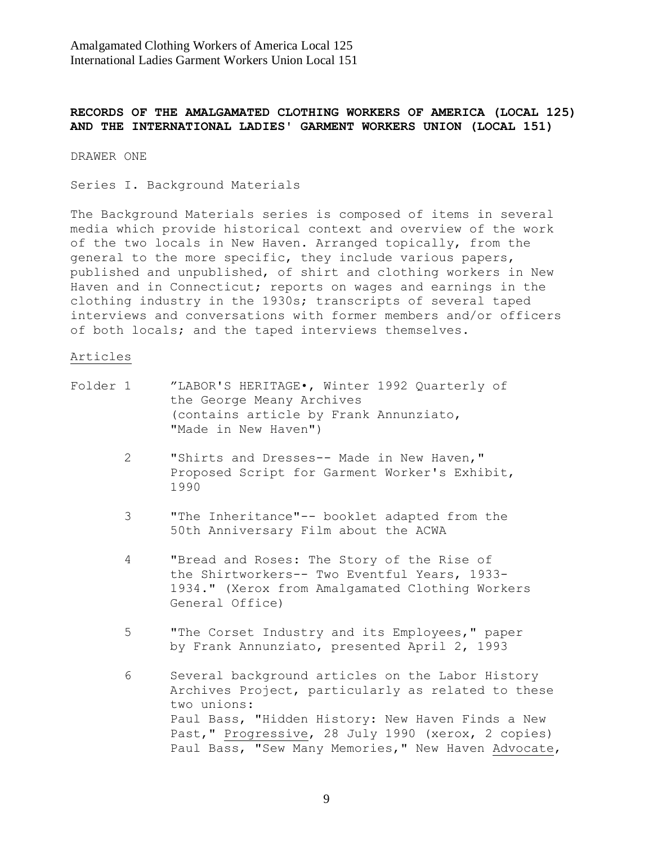## **RECORDS OF THE AMALGAMATED CLOTHING WORKERS OF AMERICA (LOCAL 125) AND THE INTERNATIONAL LADIES' GARMENT WORKERS UNION (LOCAL 151)**

DRAWER ONE

Series I. Background Materials

The Background Materials series is composed of items in several media which provide historical context and overview of the work of the two locals in New Haven. Arranged topically, from the general to the more specific, they include various papers, published and unpublished, of shirt and clothing workers in New Haven and in Connecticut; reports on wages and earnings in the clothing industry in the 1930s; transcripts of several taped interviews and conversations with former members and/or officers of both locals; and the taped interviews themselves.

#### Articles

| Folder 1 |                | "LABOR'S HERITAGE., Winter 1992 Quarterly of<br>the George Meany Archives<br>(contains article by Frank Annunziato,<br>"Made in New Haven")                                                                                                                                             |
|----------|----------------|-----------------------------------------------------------------------------------------------------------------------------------------------------------------------------------------------------------------------------------------------------------------------------------------|
|          | $\overline{2}$ | "Shirts and Dresses-- Made in New Haven,"<br>Proposed Script for Garment Worker's Exhibit,<br>1990                                                                                                                                                                                      |
|          | 3              | "The Inheritance"-- booklet adapted from the<br>50th Anniversary Film about the ACWA                                                                                                                                                                                                    |
|          | 4              | "Bread and Roses: The Story of the Rise of<br>the Shirtworkers-- Two Eventful Years, 1933-<br>1934." (Xerox from Amalgamated Clothing Workers<br>General Office)                                                                                                                        |
|          | 5              | "The Corset Industry and its Employees," paper<br>by Frank Annunziato, presented April 2, 1993                                                                                                                                                                                          |
|          | 6              | Several background articles on the Labor History<br>Archives Project, particularly as related to these<br>two unions:<br>Paul Bass, "Hidden History: New Haven Finds a New<br>Past, "Progressive, 28 July 1990 (xerox, 2 copies)<br>Paul Bass, "Sew Many Memories," New Haven Advocate, |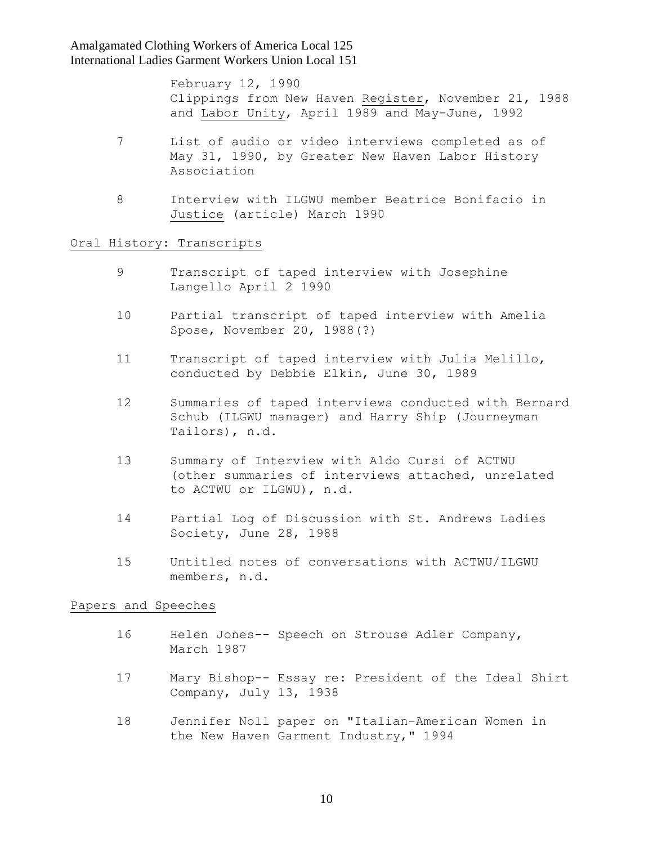> February 12, 1990 Clippings from New Haven Register, November 21, 1988 and Labor Unity, April 1989 and May-June, 1992

- 7 List of audio or video interviews completed as of May 31, 1990, by Greater New Haven Labor History Association
- 8 Interview with ILGWU member Beatrice Bonifacio in Justice (article) March 1990

### Oral History: Transcripts

- 9 Transcript of taped interview with Josephine Langello April 2 1990
- 10 Partial transcript of taped interview with Amelia Spose, November 20, 1988(?)
- 11 Transcript of taped interview with Julia Melillo, conducted by Debbie Elkin, June 30, 1989
- 12 Summaries of taped interviews conducted with Bernard Schub (ILGWU manager) and Harry Ship (Journeyman Tailors), n.d.
- 13 Summary of Interview with Aldo Cursi of ACTWU (other summaries of interviews attached, unrelated to ACTWU or ILGWU), n.d.
- 14 Partial Log of Discussion with St. Andrews Ladies Society, June 28, 1988
- 15 Untitled notes of conversations with ACTWU/ILGWU members, n.d.

#### Papers and Speeches

- 16 Helen Jones-- Speech on Strouse Adler Company, March 1987
- 17 Mary Bishop-- Essay re: President of the Ideal Shirt Company, July 13, 1938
- 18 Jennifer Noll paper on "Italian-American Women in the New Haven Garment Industry," 1994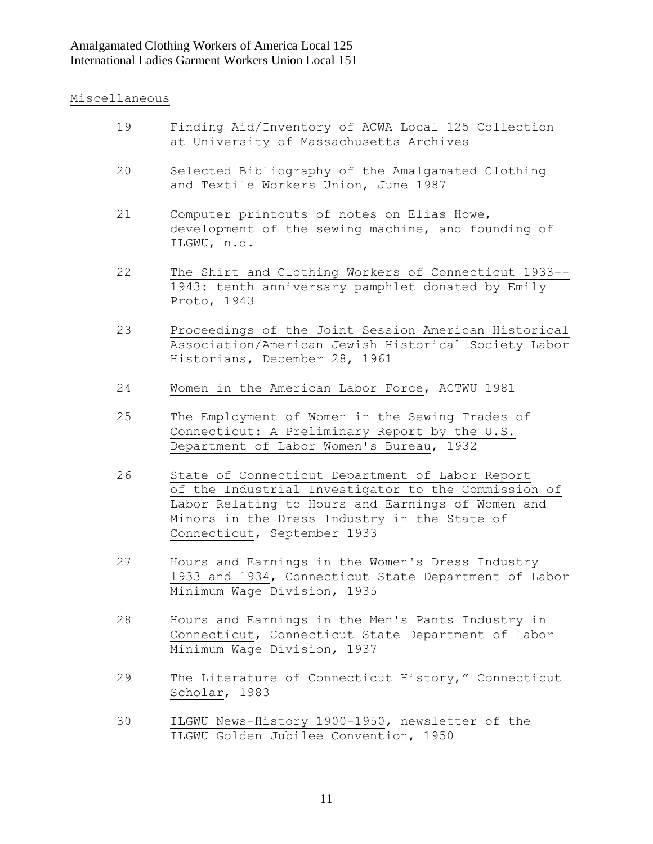## Miscellaneous

- 19 Finding Aid/Inventory of ACWA Local 125 Collection at University of Massachusetts Archives
- 20 Selected Bibliography of the Amalgamated Clothing and Textile Workers Union, June 1987
- 21 Computer printouts of notes on Elias Howe, development of the sewing machine, and founding of ILGWU, n.d.
- 22 The Shirt and Clothing Workers of Connecticut 1933-- 1943: tenth anniversary pamphlet donated by Emily Proto, 1943
- 23 Proceedings of the Joint Session American Historical Association/American Jewish Historical Society Labor Historians, December 28, 1961
- 24 Women in the American Labor Force, ACTWU 1981
- 25 The Employment of Women in the Sewing Trades of Connecticut: A Preliminary Report by the U.S. Department of Labor Women's Bureau, 1932
- 26 State of Connecticut Department of Labor Report of the Industrial Investigator to the Commission of Labor Relating to Hours and Earnings of Women and Minors in the Dress Industry in the State of Connecticut, September 1933
- 27 Hours and Earnings in the Women's Dress Industry 1933 and 1934, Connecticut State Department of Labor Minimum Wage Division, 1935
- 28 Hours and Earnings in the Men's Pants Industry in Connecticut, Connecticut State Department of Labor Minimum Wage Division, 1937
- 29 The Literature of Connecticut History," Connecticut Scholar, 1983
- 30 ILGWU News-History 1900-1950, newsletter of the ILGWU Golden Jubilee Convention, 1950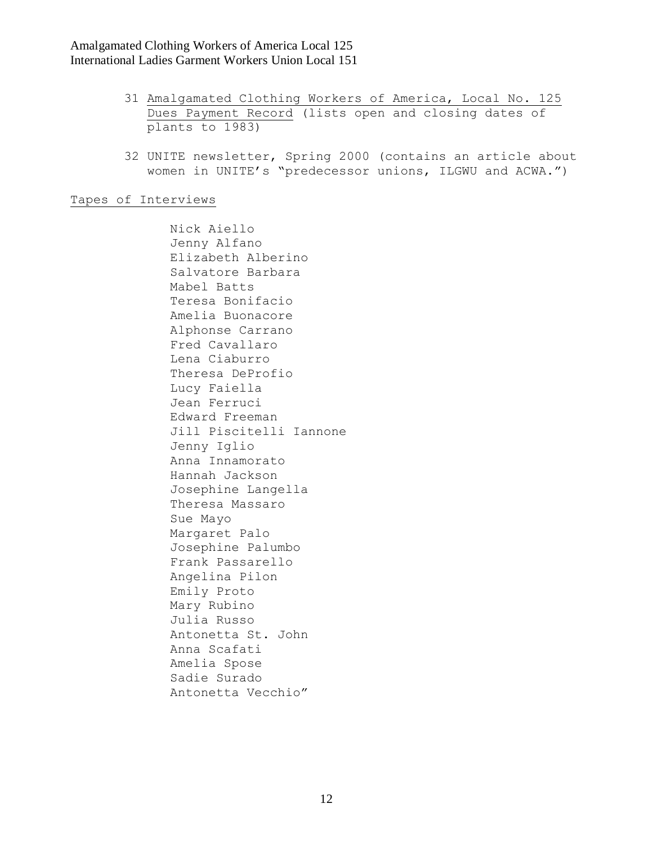- 31 Amalgamated Clothing Workers of America, Local No. 125 Dues Payment Record (lists open and closing dates of plants to 1983)
- 32 UNITE newsletter, Spring 2000 (contains an article about women in UNITE's "predecessor unions, ILGWU and ACWA.")

Tapes of Interviews

 Nick Aiello Jenny Alfano Elizabeth Alberino Salvatore Barbara Mabel Batts Teresa Bonifacio Amelia Buonacore Alphonse Carrano Fred Cavallaro Lena Ciaburro Theresa DeProfio Lucy Faiella Jean Ferruci Edward Freeman Jill Piscitelli Iannone Jenny Iglio Anna Innamorato Hannah Jackson Josephine Langella Theresa Massaro Sue Mayo Margaret Palo Josephine Palumbo Frank Passarello Angelina Pilon Emily Proto Mary Rubino Julia Russo Antonetta St. John Anna Scafati Amelia Spose Sadie Surado Antonetta Vecchio"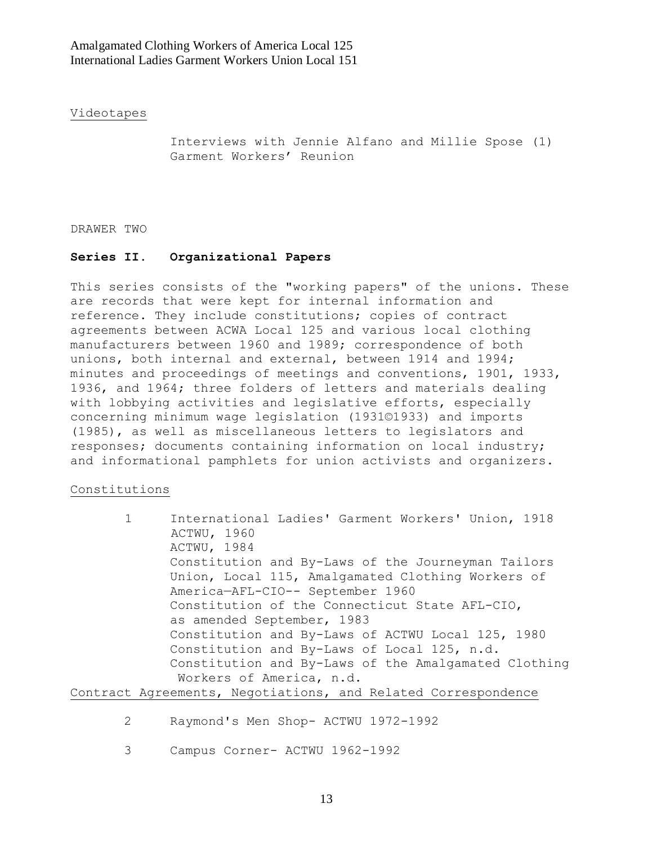### Videotapes

 Interviews with Jennie Alfano and Millie Spose (1) Garment Workers" Reunion

#### DRAWER TWO

### **Series II. Organizational Papers**

This series consists of the "working papers" of the unions. These are records that were kept for internal information and reference. They include constitutions; copies of contract agreements between ACWA Local 125 and various local clothing manufacturers between 1960 and 1989; correspondence of both unions, both internal and external, between 1914 and 1994; minutes and proceedings of meetings and conventions, 1901, 1933, 1936, and 1964; three folders of letters and materials dealing with lobbying activities and legislative efforts, especially concerning minimum wage legislation (1931©1933) and imports (1985), as well as miscellaneous letters to legislators and responses; documents containing information on local industry; and informational pamphlets for union activists and organizers.

### Constitutions

|  | International Ladies' Garment Workers' Union, 1918   |
|--|------------------------------------------------------|
|  | ACTWU, 1960                                          |
|  | ACTWU, 1984                                          |
|  | Constitution and By-Laws of the Journeyman Tailors   |
|  | Union, Local 115, Amalgamated Clothing Workers of    |
|  | America-AFL-CIO-- September 1960                     |
|  | Constitution of the Connecticut State AFL-CIO,       |
|  | as amended September, 1983                           |
|  | Constitution and By-Laws of ACTWU Local 125, 1980    |
|  | Constitution and By-Laws of Local 125, n.d.          |
|  | Constitution and By-Laws of the Amalgamated Clothing |
|  | Workers of America, n.d.                             |
|  |                                                      |

### Contract Agreements, Negotiations, and Related Correspondence

- 2 Raymond's Men Shop- ACTWU 1972-1992
- 3 Campus Corner- ACTWU 1962-1992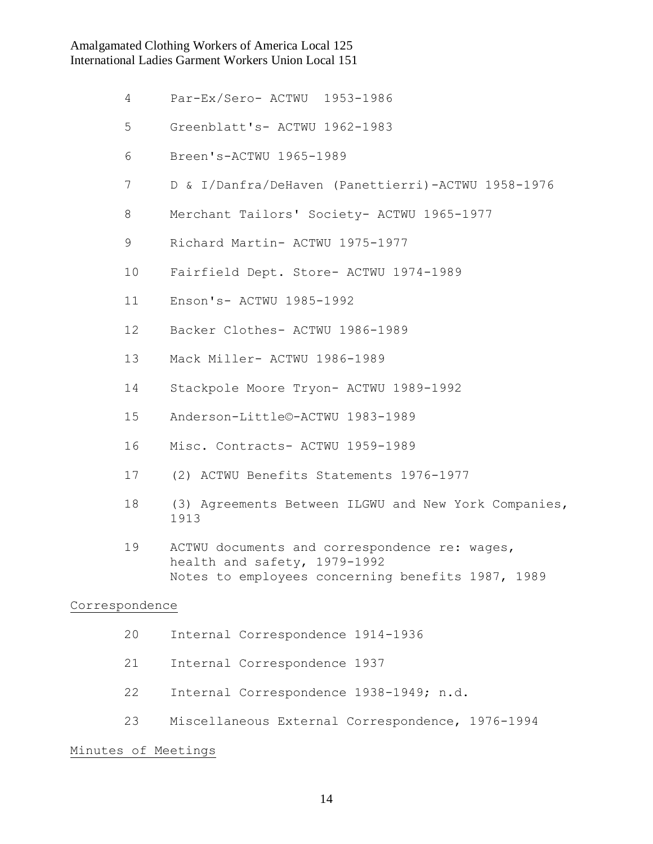- 4 Par-Ex/Sero- ACTWU 1953-1986
- 5 Greenblatt's- ACTWU 1962-1983
- 6 Breen's-ACTWU 1965-1989
- 7 D & I/Danfra/DeHaven (Panettierri)-ACTWU 1958-1976
- 8 Merchant Tailors' Society- ACTWU 1965-1977
- 9 Richard Martin- ACTWU 1975-1977
- 10 Fairfield Dept. Store- ACTWU 1974-1989
- 11 Enson's- ACTWU 1985-1992
- 12 Backer Clothes- ACTWU 1986-1989
- 13 Mack Miller- ACTWU 1986-1989
- 14 Stackpole Moore Tryon- ACTWU 1989-1992
- 15 Anderson-Little©-ACTWU 1983-1989
- 16 Misc. Contracts- ACTWU 1959-1989
- 17 (2) ACTWU Benefits Statements 1976-1977
- 18 (3) Agreements Between ILGWU and New York Companies, 1913
- 19 ACTWU documents and correspondence re: wages, health and safety, 1979-1992 Notes to employees concerning benefits 1987, 1989

### Correspondence

- 20 Internal Correspondence 1914-1936
- 21 Internal Correspondence 1937
- 22 Internal Correspondence 1938-1949; n.d.
- 23 Miscellaneous External Correspondence, 1976-1994

### Minutes of Meetings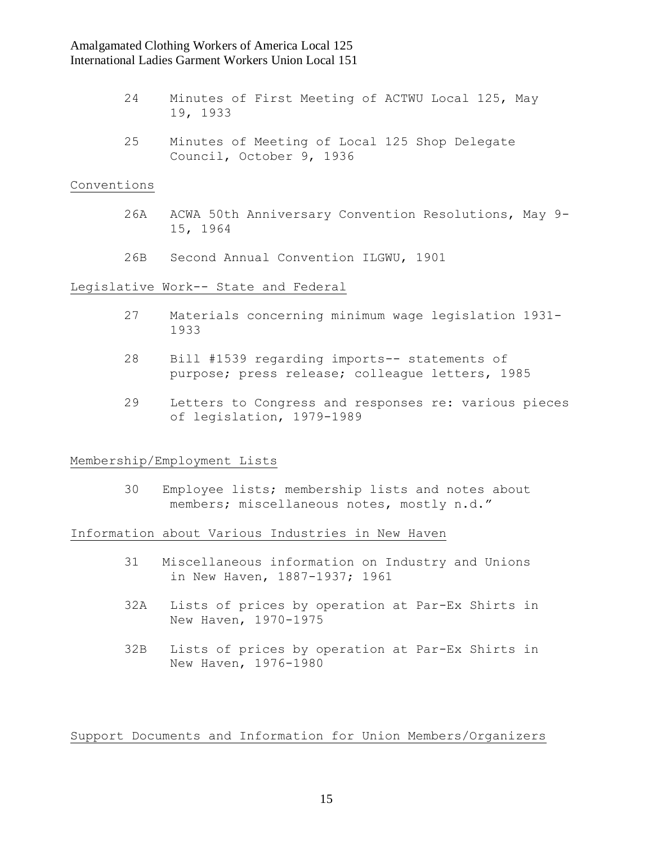- 24 Minutes of First Meeting of ACTWU Local 125, May 19, 1933
- 25 Minutes of Meeting of Local 125 Shop Delegate Council, October 9, 1936

### Conventions

- 26A ACWA 50th Anniversary Convention Resolutions, May 9- 15, 1964
- 26B Second Annual Convention ILGWU, 1901

### Legislative Work-- State and Federal

- 27 Materials concerning minimum wage legislation 1931- 1933
- 28 Bill #1539 regarding imports-- statements of purpose; press release; colleague letters, 1985
- 29 Letters to Congress and responses re: various pieces of legislation, 1979-1989

#### Membership/Employment Lists

 30 Employee lists; membership lists and notes about members; miscellaneous notes, mostly n.d."

### Information about Various Industries in New Haven

- 31 Miscellaneous information on Industry and Unions in New Haven, 1887-1937; 1961
- 32A Lists of prices by operation at Par-Ex Shirts in New Haven, 1970-1975
- 32B Lists of prices by operation at Par-Ex Shirts in New Haven, 1976-1980

## Support Documents and Information for Union Members/Organizers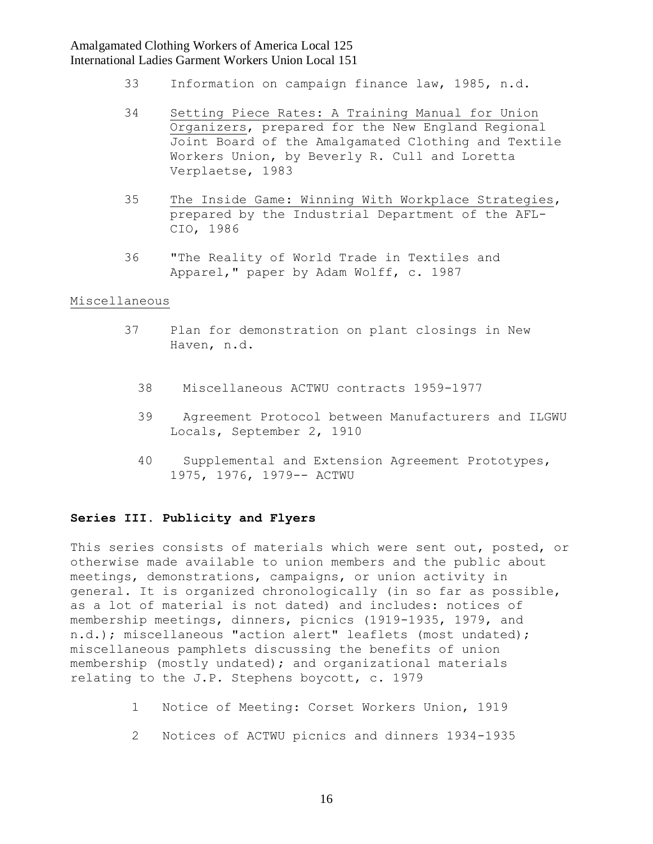- 33 Information on campaign finance law, 1985, n.d.
- 34 Setting Piece Rates: A Training Manual for Union Organizers, prepared for the New England Regional Joint Board of the Amalgamated Clothing and Textile Workers Union, by Beverly R. Cull and Loretta Verplaetse, 1983
- 35 The Inside Game: Winning With Workplace Strategies, prepared by the Industrial Department of the AFL- CIO, 1986
- 36 "The Reality of World Trade in Textiles and Apparel," paper by Adam Wolff, c. 1987

### Miscellaneous

- 37 Plan for demonstration on plant closings in New Haven, n.d.
	- 38 Miscellaneous ACTWU contracts 1959-1977
	- 39 Agreement Protocol between Manufacturers and ILGWU Locals, September 2, 1910
	- 40 Supplemental and Extension Agreement Prototypes, 1975, 1976, 1979-- ACTWU

### **Series III. Publicity and Flyers**

This series consists of materials which were sent out, posted, or otherwise made available to union members and the public about meetings, demonstrations, campaigns, or union activity in general. It is organized chronologically (in so far as possible, as a lot of material is not dated) and includes: notices of membership meetings, dinners, picnics (1919-1935, 1979, and n.d.); miscellaneous "action alert" leaflets (most undated); miscellaneous pamphlets discussing the benefits of union membership (mostly undated); and organizational materials relating to the J.P. Stephens boycott, c. 1979

- 1 Notice of Meeting: Corset Workers Union, 1919
- 2 Notices of ACTWU picnics and dinners 1934-1935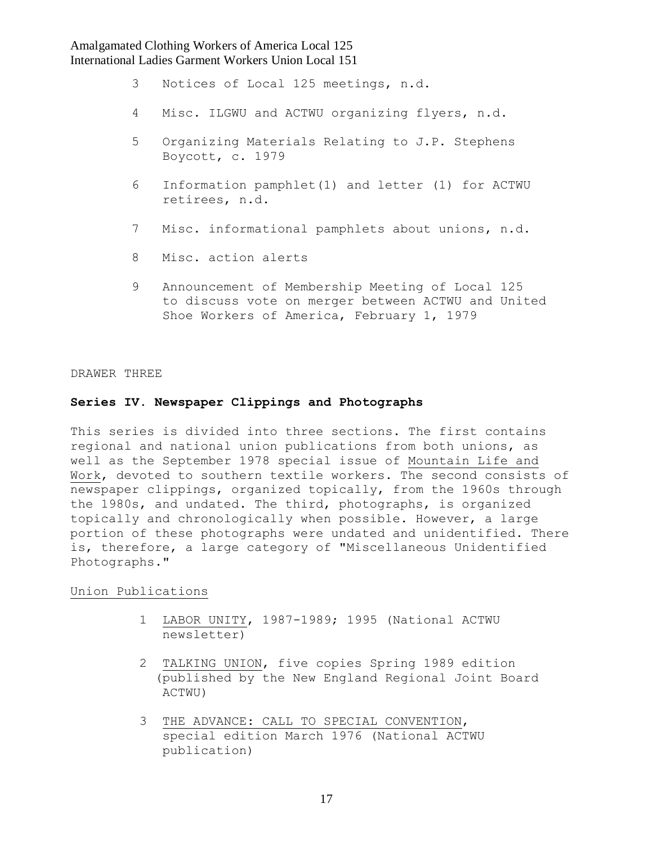- 3 Notices of Local 125 meetings, n.d.
- 4 Misc. ILGWU and ACTWU organizing flyers, n.d.
- 5 Organizing Materials Relating to J.P. Stephens Boycott, c. 1979
- 6 Information pamphlet(1) and letter (1) for ACTWU retirees, n.d.
- 7 Misc. informational pamphlets about unions, n.d.
- 8 Misc. action alerts
- 9 Announcement of Membership Meeting of Local 125 to discuss vote on merger between ACTWU and United Shoe Workers of America, February 1, 1979

#### DRAWER THREE

### **Series IV. Newspaper Clippings and Photographs**

This series is divided into three sections. The first contains regional and national union publications from both unions, as well as the September 1978 special issue of Mountain Life and Work, devoted to southern textile workers. The second consists of newspaper clippings, organized topically, from the 1960s through the 1980s, and undated. The third, photographs, is organized topically and chronologically when possible. However, a large portion of these photographs were undated and unidentified. There is, therefore, a large category of "Miscellaneous Unidentified Photographs."

#### Union Publications

- 1 LABOR UNITY, 1987-1989; 1995 (National ACTWU newsletter)
- 2 TALKING UNION, five copies Spring 1989 edition (published by the New England Regional Joint Board ACTWU)
- 3 THE ADVANCE: CALL TO SPECIAL CONVENTION, special edition March 1976 (National ACTWU publication)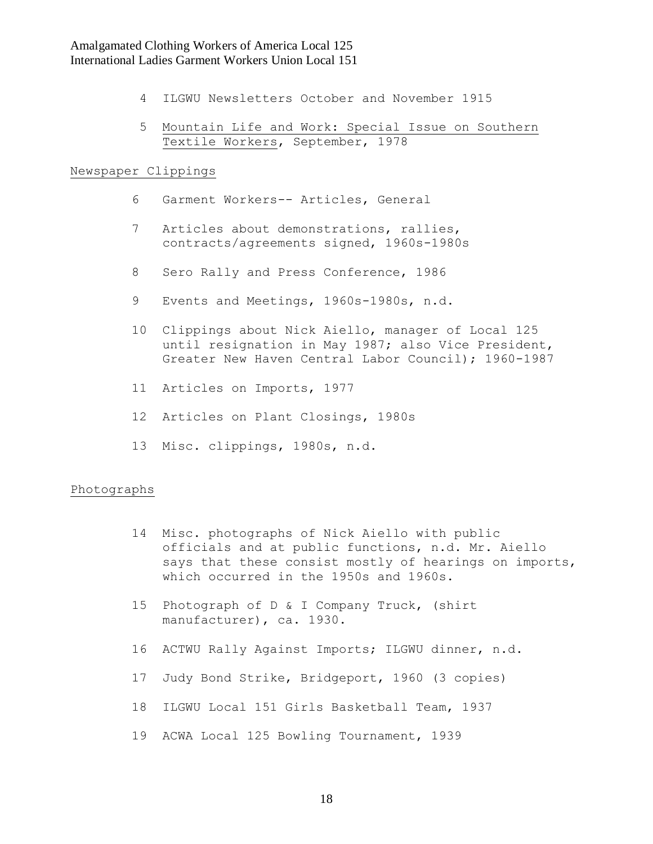- 4 ILGWU Newsletters October and November 1915
- 5 Mountain Life and Work: Special Issue on Southern Textile Workers, September, 1978

### Newspaper Clippings

- 6 Garment Workers-- Articles, General
- 7 Articles about demonstrations, rallies, contracts/agreements signed, 1960s-1980s
- 8 Sero Rally and Press Conference, 1986
- 9 Events and Meetings, 1960s-1980s, n.d.
- 10 Clippings about Nick Aiello, manager of Local 125 until resignation in May 1987; also Vice President, Greater New Haven Central Labor Council); 1960-1987
- 11 Articles on Imports, 1977
- 12 Articles on Plant Closings, 1980s
- 13 Misc. clippings, 1980s, n.d.

#### Photographs

- 14 Misc. photographs of Nick Aiello with public officials and at public functions, n.d. Mr. Aiello says that these consist mostly of hearings on imports, which occurred in the 1950s and 1960s.
- 15 Photograph of D & I Company Truck, (shirt manufacturer), ca. 1930.
- 16 ACTWU Rally Against Imports; ILGWU dinner, n.d.
- 17 Judy Bond Strike, Bridgeport, 1960 (3 copies)
- 18 ILGWU Local 151 Girls Basketball Team, 1937
- 19 ACWA Local 125 Bowling Tournament, 1939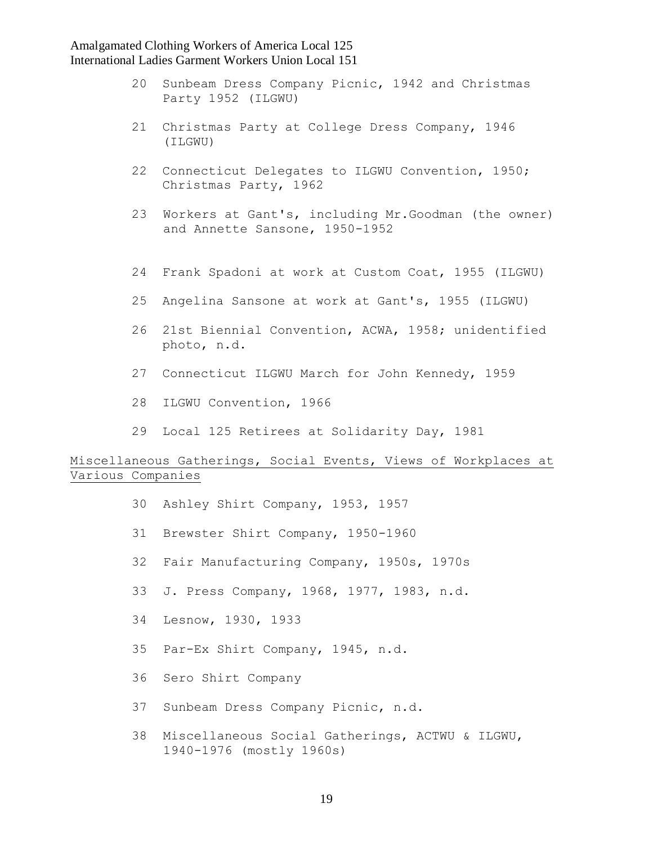- 20 Sunbeam Dress Company Picnic, 1942 and Christmas Party 1952 (ILGWU)
- 21 Christmas Party at College Dress Company, 1946 (ILGWU)
- 22 Connecticut Delegates to ILGWU Convention, 1950; Christmas Party, 1962
- 23 Workers at Gant's, including Mr.Goodman (the owner) and Annette Sansone, 1950-1952
- 24 Frank Spadoni at work at Custom Coat, 1955 (ILGWU)
- 25 Angelina Sansone at work at Gant's, 1955 (ILGWU)
- 26 21st Biennial Convention, ACWA, 1958; unidentified photo, n.d.
- 27 Connecticut ILGWU March for John Kennedy, 1959
- 28 ILGWU Convention, 1966
- 29 Local 125 Retirees at Solidarity Day, 1981

## Miscellaneous Gatherings, Social Events, Views of Workplaces at Various Companies

- 30 Ashley Shirt Company, 1953, 1957
- 31 Brewster Shirt Company, 1950-1960
- 32 Fair Manufacturing Company, 1950s, 1970s
- 33 J. Press Company, 1968, 1977, 1983, n.d.
- 34 Lesnow, 1930, 1933
- 35 Par-Ex Shirt Company, 1945, n.d.
- 36 Sero Shirt Company
- 37 Sunbeam Dress Company Picnic, n.d.
- 38 Miscellaneous Social Gatherings, ACTWU & ILGWU, 1940-1976 (mostly 1960s)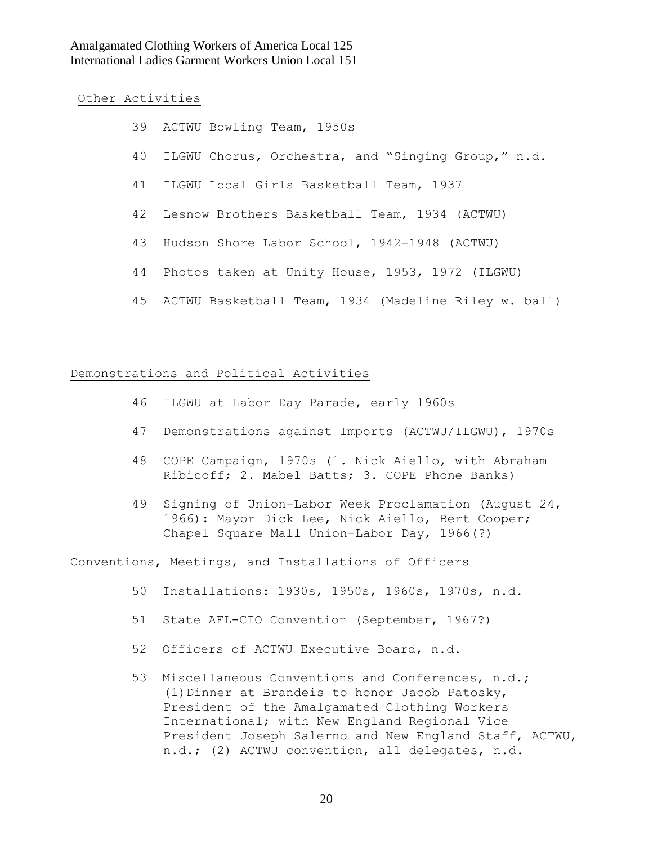Other Activities

| 39 ACTWU Bowling Team, 1950s                            |
|---------------------------------------------------------|
| 40 ILGWU Chorus, Orchestra, and "Singing Group," n.d.   |
| 41 ILGWU Local Girls Basketball Team, 1937              |
| 42 Lesnow Brothers Basketball Team, 1934 (ACTWU)        |
| 43 Hudson Shore Labor School, 1942-1948 (ACTWU)         |
| 44 Photos taken at Unity House, 1953, 1972 (ILGWU)      |
| 45 ACTWU Basketball Team, 1934 (Madeline Riley w. ball) |

#### Demonstrations and Political Activities

- 46 ILGWU at Labor Day Parade, early 1960s
- 47 Demonstrations against Imports (ACTWU/ILGWU), 1970s
- 48 COPE Campaign, 1970s (1. Nick Aiello, with Abraham Ribicoff; 2. Mabel Batts; 3. COPE Phone Banks)
- 49 Signing of Union-Labor Week Proclamation (August 24, 1966): Mayor Dick Lee, Nick Aiello, Bert Cooper; Chapel Square Mall Union-Labor Day, 1966(?)

### Conventions, Meetings, and Installations of Officers

- 50 Installations: 1930s, 1950s, 1960s, 1970s, n.d.
- 51 State AFL-CIO Convention (September, 1967?)
- 52 Officers of ACTWU Executive Board, n.d.
- 53 Miscellaneous Conventions and Conferences, n.d.; (1)Dinner at Brandeis to honor Jacob Patosky, President of the Amalgamated Clothing Workers International; with New England Regional Vice President Joseph Salerno and New England Staff, ACTWU, n.d.; (2) ACTWU convention, all delegates, n.d.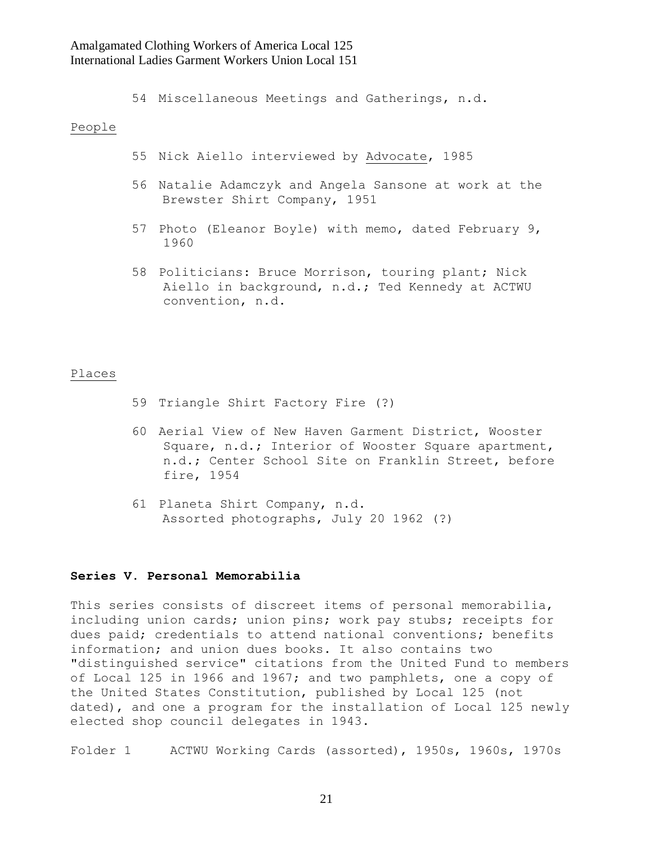54 Miscellaneous Meetings and Gatherings, n.d.

#### People

- 55 Nick Aiello interviewed by Advocate, 1985
- 56 Natalie Adamczyk and Angela Sansone at work at the Brewster Shirt Company, 1951
- 57 Photo (Eleanor Boyle) with memo, dated February 9, 1960
- 58 Politicians: Bruce Morrison, touring plant; Nick Aiello in background, n.d.; Ted Kennedy at ACTWU convention, n.d.

#### Places

- 59 Triangle Shirt Factory Fire (?)
- 60 Aerial View of New Haven Garment District, Wooster Square, n.d.; Interior of Wooster Square apartment, n.d.; Center School Site on Franklin Street, before fire, 1954
- 61 Planeta Shirt Company, n.d. Assorted photographs, July 20 1962 (?)

#### **Series V. Personal Memorabilia**

This series consists of discreet items of personal memorabilia, including union cards; union pins; work pay stubs; receipts for dues paid; credentials to attend national conventions; benefits information; and union dues books. It also contains two "distinguished service" citations from the United Fund to members of Local 125 in 1966 and 1967; and two pamphlets, one a copy of the United States Constitution, published by Local 125 (not dated), and one a program for the installation of Local 125 newly elected shop council delegates in 1943.

Folder 1 ACTWU Working Cards (assorted), 1950s, 1960s, 1970s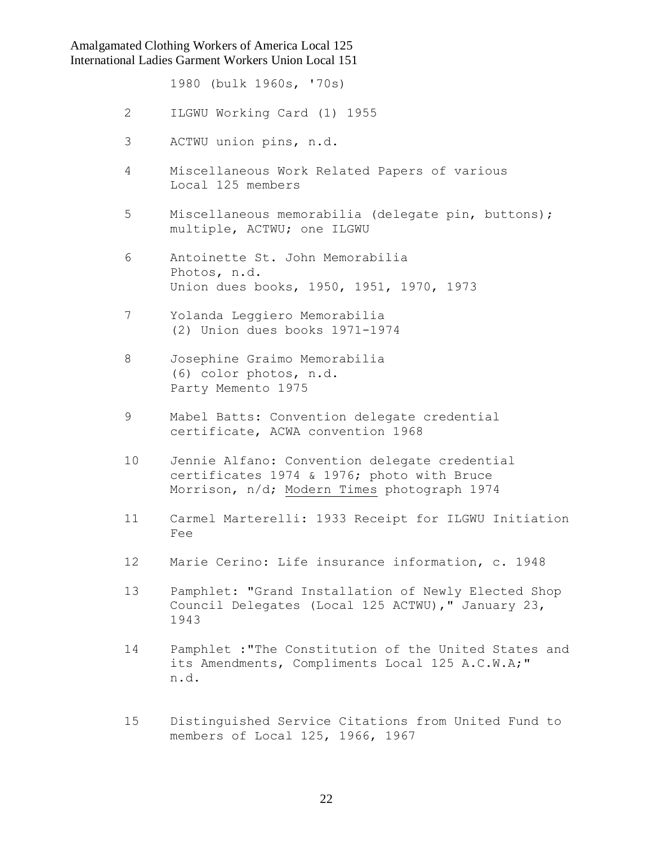1980 (bulk 1960s, '70s)

- 2 ILGWU Working Card (1) 1955
- 3 ACTWU union pins, n.d.
- 4 Miscellaneous Work Related Papers of various Local 125 members
- 5 Miscellaneous memorabilia (delegate pin, buttons); multiple, ACTWU; one ILGWU
- 6 Antoinette St. John Memorabilia Photos, n.d. Union dues books, 1950, 1951, 1970, 1973
- 7 Yolanda Leggiero Memorabilia (2) Union dues books 1971-1974
- 8 Josephine Graimo Memorabilia (6) color photos, n.d. Party Memento 1975
- 9 Mabel Batts: Convention delegate credential certificate, ACWA convention 1968
- 10 Jennie Alfano: Convention delegate credential certificates 1974 & 1976; photo with Bruce Morrison, n/d; Modern Times photograph 1974
- 11 Carmel Marterelli: 1933 Receipt for ILGWU Initiation Fee
- 12 Marie Cerino: Life insurance information, c. 1948
- 13 Pamphlet: "Grand Installation of Newly Elected Shop Council Delegates (Local 125 ACTWU)," January 23, 1943
- 14 Pamphlet :"The Constitution of the United States and its Amendments, Compliments Local 125 A.C.W.A;" n.d.
- 15 Distinguished Service Citations from United Fund to members of Local 125, 1966, 1967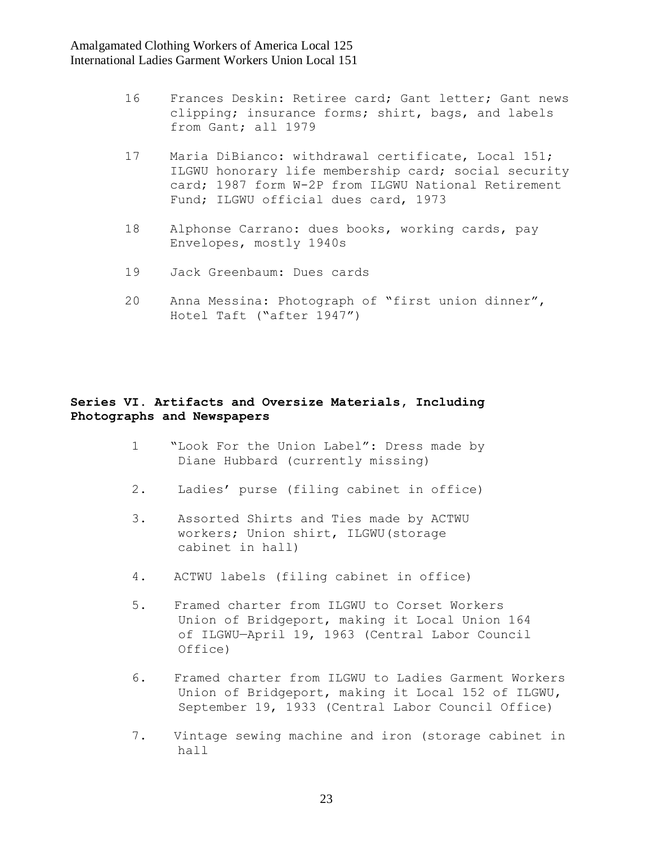- 16 Frances Deskin: Retiree card; Gant letter; Gant news clipping; insurance forms; shirt, bags, and labels from Gant; all 1979
- 17 Maria DiBianco: withdrawal certificate, Local 151; ILGWU honorary life membership card; social security card; 1987 form W-2P from ILGWU National Retirement Fund; ILGWU official dues card, 1973
- 18 Alphonse Carrano: dues books, working cards, pay Envelopes, mostly 1940s
- 19 Jack Greenbaum: Dues cards
- 20 Anna Messina: Photograph of "first union dinner", Hotel Taft ("after 1947")

# **Series VI. Artifacts and Oversize Materials, Including Photographs and Newspapers**

- 1 "Look For the Union Label": Dress made by Diane Hubbard (currently missing)
- 2. Ladies' purse (filing cabinet in office)
- 3. Assorted Shirts and Ties made by ACTWU workers; Union shirt, ILGWU(storage cabinet in hall)
- 4. ACTWU labels (filing cabinet in office)
- 5. Framed charter from ILGWU to Corset Workers Union of Bridgeport, making it Local Union 164 of ILGWU—April 19, 1963 (Central Labor Council Office)
- 6. Framed charter from ILGWU to Ladies Garment Workers Union of Bridgeport, making it Local 152 of ILGWU, September 19, 1933 (Central Labor Council Office)
- 7. Vintage sewing machine and iron (storage cabinet in hall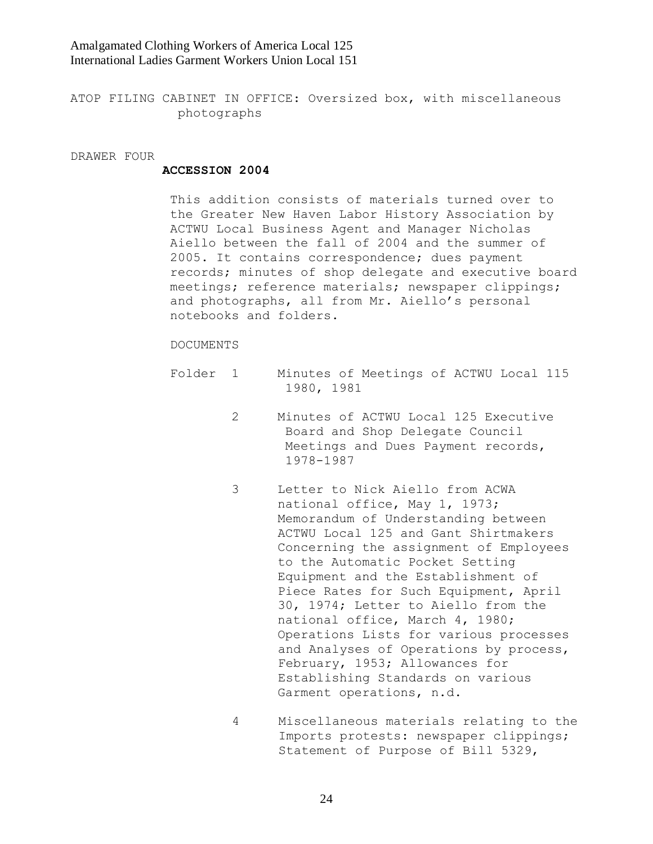ATOP FILING CABINET IN OFFICE: Oversized box, with miscellaneous photographs

DRAWER FOUR

#### **ACCESSION 2004**

This addition consists of materials turned over to the Greater New Haven Labor History Association by ACTWU Local Business Agent and Manager Nicholas Aiello between the fall of 2004 and the summer of 2005. It contains correspondence; dues payment records; minutes of shop delegate and executive board meetings; reference materials; newspaper clippings; and photographs, all from Mr. Aiello"s personal notebooks and folders.

#### DOCUMENTS

- Folder 1 Minutes of Meetings of ACTWU Local 115 1980, 1981
	- 2 Minutes of ACTWU Local 125 Executive Board and Shop Delegate Council Meetings and Dues Payment records, 1978-1987
	- 3 Letter to Nick Aiello from ACWA national office, May 1, 1973; Memorandum of Understanding between ACTWU Local 125 and Gant Shirtmakers Concerning the assignment of Employees to the Automatic Pocket Setting Equipment and the Establishment of Piece Rates for Such Equipment, April 30, 1974; Letter to Aiello from the national office, March 4, 1980; Operations Lists for various processes and Analyses of Operations by process, February, 1953; Allowances for Establishing Standards on various Garment operations, n.d.
	- 4 Miscellaneous materials relating to the Imports protests: newspaper clippings; Statement of Purpose of Bill 5329,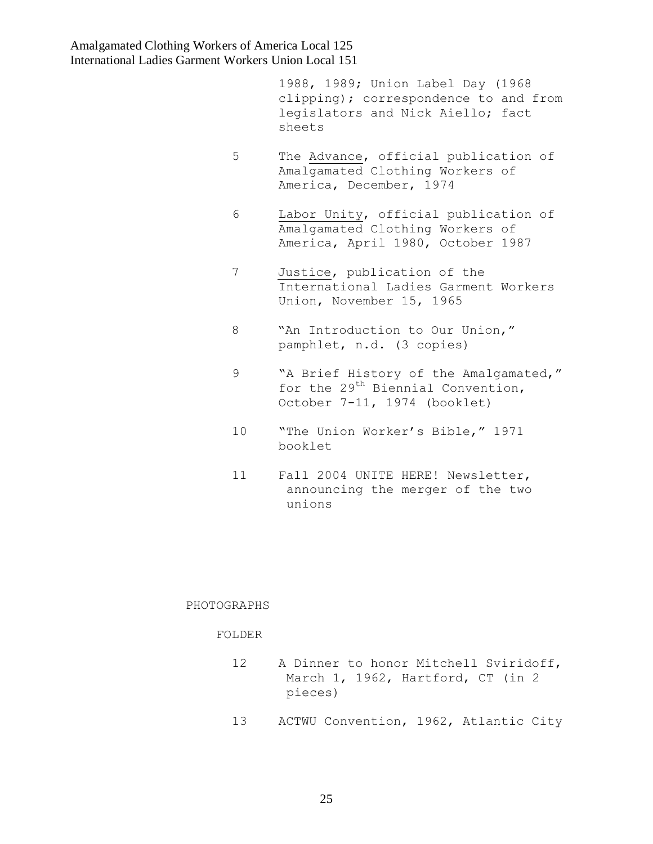1988, 1989; Union Label Day (1968 clipping); correspondence to and from legislators and Nick Aiello; fact sheets

- 5 The Advance, official publication of Amalgamated Clothing Workers of America, December, 1974
- 6 Labor Unity, official publication of Amalgamated Clothing Workers of America, April 1980, October 1987
- 7 Justice, publication of the International Ladies Garment Workers Union, November 15, 1965
- 8 "An Introduction to Our Union," pamphlet, n.d. (3 copies)
- 9 "A Brief History of the Amalgamated," for the 29<sup>th</sup> Biennial Convention, October 7-11, 1974 (booklet)
- 10 "The Union Worker"s Bible," 1971 booklet
- 11 Fall 2004 UNITE HERE! Newsletter, announcing the merger of the two unions

#### PHOTOGRAPHS

### FOLDER

- 12 A Dinner to honor Mitchell Sviridoff, March 1, 1962, Hartford, CT (in 2 pieces)
- 13 ACTWU Convention, 1962, Atlantic City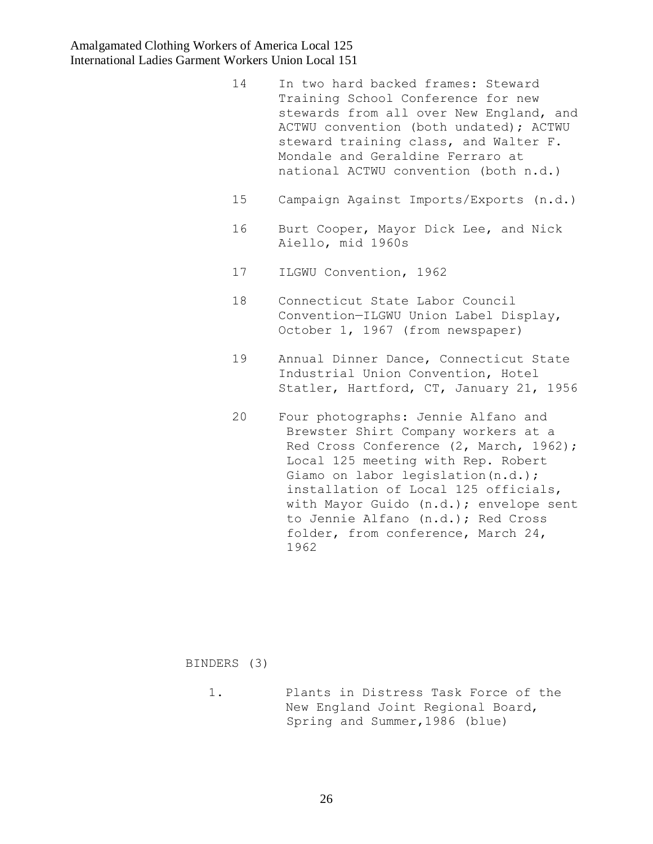- 14 In two hard backed frames: Steward Training School Conference for new stewards from all over New England, and ACTWU convention (both undated); ACTWU steward training class, and Walter F. Mondale and Geraldine Ferraro at national ACTWU convention (both n.d.)
- 15 Campaign Against Imports/Exports (n.d.)
- 16 Burt Cooper, Mayor Dick Lee, and Nick Aiello, mid 1960s
- 17 ILGWU Convention, 1962
- 18 Connecticut State Labor Council Convention—ILGWU Union Label Display, October 1, 1967 (from newspaper)
- 19 Annual Dinner Dance, Connecticut State Industrial Union Convention, Hotel Statler, Hartford, CT, January 21, 1956
- 20 Four photographs: Jennie Alfano and Brewster Shirt Company workers at a Red Cross Conference (2, March, 1962); Local 125 meeting with Rep. Robert Giamo on labor legislation(n.d.); installation of Local 125 officials, with Mayor Guido (n.d.); envelope sent to Jennie Alfano (n.d.); Red Cross folder, from conference, March 24, 1962

BINDERS (3)

 1. Plants in Distress Task Force of the New England Joint Regional Board, Spring and Summer,1986 (blue)